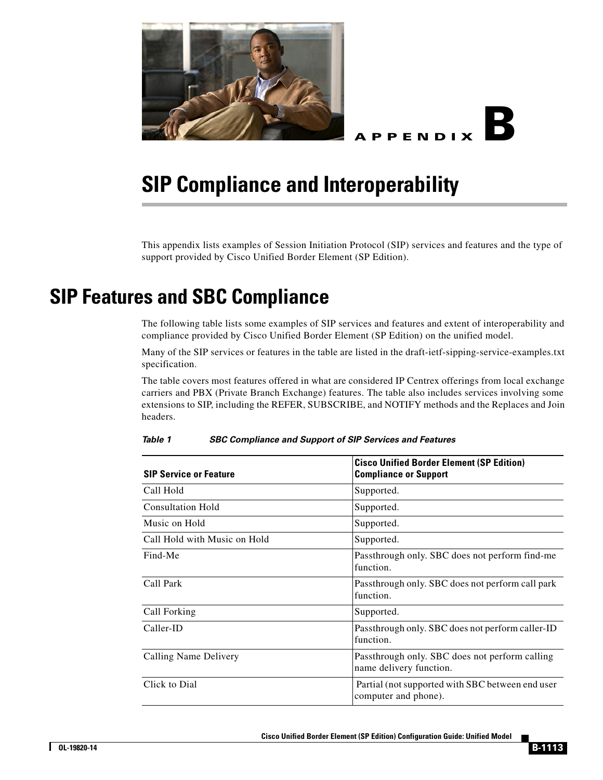



## **SIP Compliance and Interoperability**

This appendix lists examples of Session Initiation Protocol (SIP) services and features and the type of support provided by Cisco Unified Border Element (SP Edition).

## **SIP Features and SBC Compliance**

The following table lists some examples of SIP services and features and extent of interoperability and compliance provided by Cisco Unified Border Element (SP Edition) on the unified model.

Many of the SIP services or features in the table are listed in the draft-ietf-sipping-service-examples.txt specification.

The table covers most features offered in what are considered IP Centrex offerings from local exchange carriers and PBX (Private Branch Exchange) features. The table also includes services involving some extensions to SIP, including the REFER, SUBSCRIBE, and NOTIFY methods and the Replaces and Join headers.

| <b>SIP Service or Feature</b> | <b>Cisco Unified Border Element (SP Edition)</b><br><b>Compliance or Support</b> |
|-------------------------------|----------------------------------------------------------------------------------|
| Call Hold                     | Supported.                                                                       |
| <b>Consultation Hold</b>      | Supported.                                                                       |
| Music on Hold                 | Supported.                                                                       |
| Call Hold with Music on Hold  | Supported.                                                                       |
| Find-Me                       | Passthrough only. SBC does not perform find-me<br>function.                      |
| Call Park                     | Passthrough only. SBC does not perform call park<br>function.                    |
| Call Forking                  | Supported.                                                                       |
| Caller-ID                     | Passthrough only. SBC does not perform caller-ID<br>function.                    |
| Calling Name Delivery         | Passthrough only. SBC does not perform calling<br>name delivery function.        |
| Click to Dial                 | Partial (not supported with SBC between end user<br>computer and phone).         |

*Table 1 SBC Compliance and Support of SIP Services and Features*